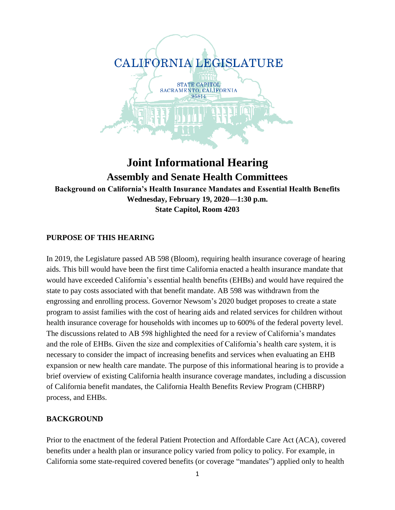

## **Joint Informational Hearing Assembly and Senate Health Committees**

**Background on California's Health Insurance Mandates and Essential Health Benefits Wednesday, February 19, 2020—1:30 p.m. State Capitol, Room 4203**

## **PURPOSE OF THIS HEARING**

In 2019, the Legislature passed AB 598 (Bloom), requiring health insurance coverage of hearing aids. This bill would have been the first time California enacted a health insurance mandate that would have exceeded California's essential health benefits (EHBs) and would have required the state to pay costs associated with that benefit mandate. AB 598 was withdrawn from the engrossing and enrolling process. Governor Newsom's 2020 budget proposes to create a state program to assist families with the cost of hearing aids and related services for children without health insurance coverage for households with incomes up to 600% of the federal poverty level. The discussions related to AB 598 highlighted the need for a review of California's mandates and the role of EHBs. Given the size and complexities of California's health care system, it is necessary to consider the impact of increasing benefits and services when evaluating an EHB expansion or new health care mandate. The purpose of this informational hearing is to provide a brief overview of existing California health insurance coverage mandates, including a discussion of California benefit mandates, the California Health Benefits Review Program (CHBRP) process, and EHBs.

## **BACKGROUND**

Prior to the enactment of the federal Patient Protection and Affordable Care Act (ACA), covered benefits under a health plan or insurance policy varied from policy to policy. For example, in California some state-required covered benefits (or coverage "mandates") applied only to health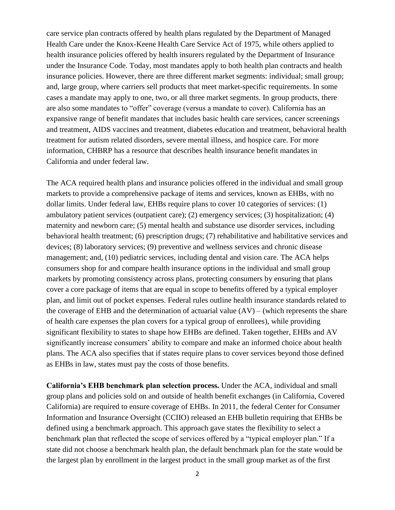care service plan contracts offered by health plans regulated by the Department of Managed Health Care under the Knox-Keene Health Care Service Act of 1975, while others applied to health insurance policies offered by health insurers regulated by the Department of Insurance under the Insurance Code. Today, most mandates apply to both health plan contracts and health insurance policies. However, there are three different market segments: individual; small group; and, large group, where carriers sell products that meet market-specific requirements. In some cases a mandate may apply to one, two, or all three market segments. In group products, there are also some mandates to "offer" coverage (versus a mandate to cover). California has an expansive range of benefit mandates that includes basic health care services, cancer screenings and treatment, AIDS vaccines and treatment, diabetes education and treatment, behavioral health treatment for autism related disorders, severe mental illness, and hospice care. For more information, CHBRP has a [resource](http://cms5.revize.com/revize/chbrpnew/CA%20Mandates%20Update%202019%20FINAL%20120519.pdf) that describes health insurance benefit mandates in California and under federal law.

The ACA required health plans and insurance policies offered in the individual and small group markets to provide a comprehensive package of items and services, known as EHBs, with no dollar limits. Under federal law, EHBs require plans to cover 10 categories of services: (1) ambulatory patient services (outpatient care); (2) emergency services; (3) hospitalization; (4) maternity and newborn care; (5) mental health and substance use disorder services, including behavioral health treatment; (6) prescription drugs; (7) rehabilitative and habilitative services and devices; (8) laboratory services; (9) preventive and wellness services and chronic disease management; and, (10) pediatric services, including dental and vision care. The ACA helps consumers shop for and compare health insurance options in the individual and small group markets by promoting consistency across plans, protecting consumers by ensuring that plans cover a core package of items that are equal in scope to benefits offered by a typical employer plan, and limit out of pocket expenses. Federal rules outline health insurance standards related to the coverage of EHB and the determination of actuarial value  $(AV)$  – (which represents the share of health care expenses the plan covers for a typical group of enrollees), while providing significant flexibility to states to shape how EHBs are defined. Taken together, EHBs and AV significantly increase consumers' ability to compare and make an informed choice about health plans. The ACA also specifies that if states require plans to cover services beyond those defined as EHBs in law, states must pay the costs of those benefits.

**California's EHB benchmark plan selection process.** Under the ACA, individual and small group plans and policies sold on and outside of health benefit exchanges (in California, Covered California) are required to ensure coverage of EHBs. In 2011, the federal Center for Consumer Information and Insurance Oversight (CCIIO) released an EHB bulletin requiring that EHBs be defined using a benchmark approach. This approach gave states the flexibility to select a benchmark plan that reflected the scope of services offered by a "typical employer plan." If a state did not choose a benchmark health plan, the default benchmark plan for the state would be the largest plan by enrollment in the largest product in the small group market as of the first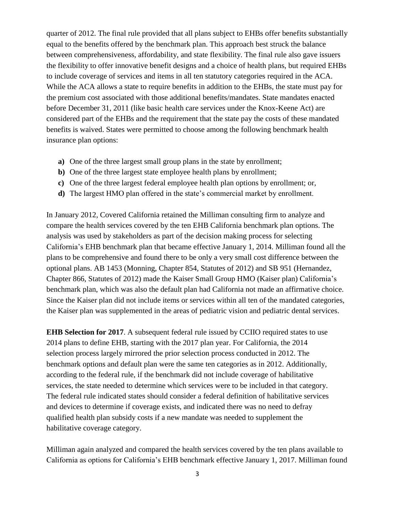quarter of 2012. The final rule provided that all plans subject to EHBs offer benefits substantially equal to the benefits offered by the benchmark plan. This approach best struck the balance between comprehensiveness, affordability, and state flexibility. The final rule also gave issuers the flexibility to offer innovative benefit designs and a choice of health plans, but required EHBs to include coverage of services and items in all ten statutory categories required in the ACA. While the ACA allows a state to require benefits in addition to the EHBs, the state must pay for the premium cost associated with those additional benefits/mandates. State mandates enacted before December 31, 2011 (like basic health care services under the Knox-Keene Act) are considered part of the EHBs and the requirement that the state pay the costs of these mandated benefits is waived. States were permitted to choose among the following benchmark health insurance plan options:

- **a)** One of the three largest small group plans in the state by enrollment;
- **b)** One of the three largest state employee health plans by enrollment;
- **c)** One of the three largest federal employee health plan options by enrollment; or,
- **d)** The largest HMO plan offered in the state's commercial market by enrollment.

In January 2012, Covered California retained the Milliman consulting firm to analyze and compare the health services covered by the ten EHB California benchmark plan options. The analysis was used by stakeholders as part of the decision making process for selecting California's EHB benchmark plan that became effective January 1, 2014. Milliman found all the plans to be comprehensive and found there to be only a very small cost difference between the optional plans. AB 1453 (Monning, Chapter 854, Statutes of 2012) and SB 951 (Hernandez, Chapter 866, Statutes of 2012) made the Kaiser Small Group HMO (Kaiser plan) California's benchmark plan, which was also the default plan had California not made an affirmative choice. Since the Kaiser plan did not include items or services within all ten of the mandated categories, the Kaiser plan was supplemented in the areas of pediatric vision and pediatric dental services.

**EHB Selection for 2017**. A subsequent federal rule issued by CCIIO required states to use 2014 plans to define EHB, starting with the 2017 plan year. For California, the 2014 selection process largely mirrored the prior selection process conducted in 2012. The benchmark options and default plan were the same ten categories as in 2012. Additionally, according to the federal rule, if the benchmark did not include coverage of habilitative services, the state needed to determine which services were to be included in that category. The federal rule indicated states should consider a federal definition of habilitative services and devices to determine if coverage exists, and indicated there was no need to defray qualified health plan subsidy costs if a new mandate was needed to supplement the habilitative coverage category.

Milliman again analyzed and compared the health services covered by the ten plans available to California as options for California's EHB benchmark effective January 1, 2017. Milliman found